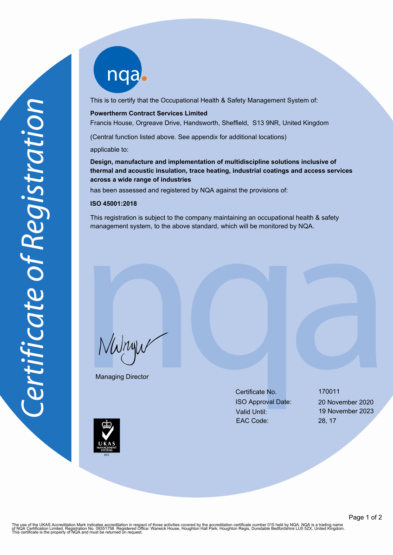nqab

This is to certify that the Occupational Health & Safety Management System of:

### **Powertherm Contract Services Limited**

Francis House, Orgreave Drive, Handsworth, Sheffield, S13 9NR, United Kingdom

(Central function listed above. See appendix for additional locations)

applicable to:

**Design, manufacture and implementation of multidiscipline solutions inclusive of thermal and acoustic insulation, trace heating, industrial coatings and access services across a wide range of industries**

has been assessed and registered by NQA against the provisions of:

#### **ISO 45001:2018**

This registration is subject to the company maintaining an occupational health & safety management system, to the above standard, which will be monitored by NQA.

NWnyw

Managing Director

Certificate No. 170011 ISO Approval Date: 20 November 2020 Valid Until: 19 November 2023 EAC Code: 28, 17